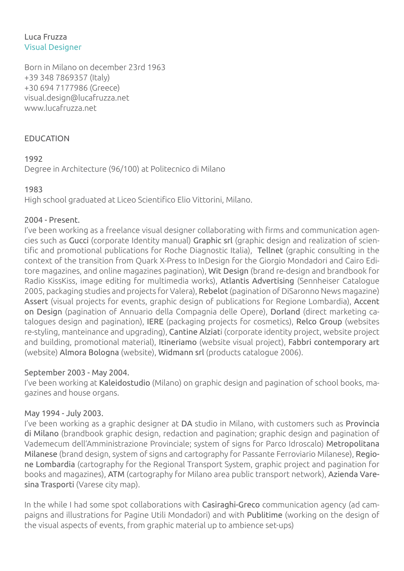#### Luca Fruzza Visual Designer

Born in Milano on december 23rd 1963 +39 348 7869357 (Italy) +30 694 7177986 (Greece) visual.design@lucafruzza.net www.lucafruzza.net

# EDUCATION

# 1992

Degree in Architecture (96/100) at Politecnico di Milano

# 1983

High school graduated at Liceo Scientifico Elio Vittorini, Milano.

### 2004 - Present.

I've been working as a freelance visual designer collaborating with firms and communication agencies such as Gucci (corporate Identity manual) Graphic srl (graphic design and realization of scientific and promotional publications for Roche Diagnostic Italia), Tellnet (graphic consulting in the context of the transition from Quark X-Press to InDesign for the Giorgio Mondadori and Cairo Editore magazines, and online magazines pagination), Wit Design (brand re-design and brandbook for Radio KissKiss, image editing for multimedia works), Atlantis Advertising (Sennheiser Catalogue 2005, packaging studies and projects for Valera), Rebelot (pagination of DiSaronno News magazine) Assert (visual projects for events, graphic design of publications for Regione Lombardia), Accent on Design (pagination of Annuario della Compagnia delle Opere), Dorland (direct marketing catalogues design and pagination), IERE (packaging projects for cosmetics), Relco Group (websites re-styling, manteinance and upgrading), Cantine Alziati (corporate identity project, website project and building, promotional material), Itineriamo (website visual project), Fabbri contemporary art (website) Almora Bologna (website), Widmann srl (products catalogue 2006).

### September 2003 - May 2004.

I've been working at Kaleidostudio (Milano) on graphic design and pagination of school books, magazines and house organs.

### May 1994 - July 2003.

I've been working as a graphic designer at DA studio in Milano, with customers such as Provincia di Milano (brandbook graphic design, redaction and pagination; graphic design and pagination of Vademecum dell'Amministrazione Provinciale; system of signs for Parco Idroscalo) Metropolitana Milanese (brand design, system of signs and cartography for Passante Ferroviario Milanese), Regione Lombardia (cartography for the Regional Transport System, graphic project and pagination for books and magazines), ATM (cartography for Milano area public transport network), Azienda Varesina Trasporti (Varese city map).

In the while I had some spot collaborations with Casiraghi-Greco communication agency (ad campaigns and illustrations for Pagine Utili Mondadori) and with Publitime (working on the design of the visual aspects of events, from graphic material up to ambience set-ups)